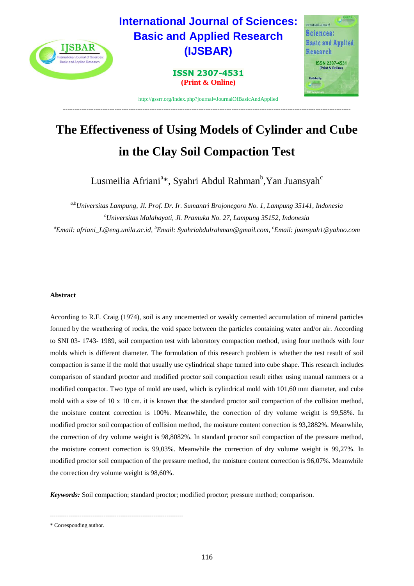

# **The Effectiveness of Using Models of Cylinder and Cube in the Clay Soil Compaction Test**

Lusmeilia Afriani<sup>a</sup>\*, Syahri Abdul Rahman<sup>b</sup>,Yan Juansyah<sup>c</sup>

*a,bUniversitas Lampung, Jl. Prof. Dr. Ir. Sumantri Brojonegoro No. 1, Lampung 35141, Indonesia <sup>c</sup>Universitas Malahayati, Jl. Pramuka No. 27, Lampung 35152, Indonesia <sup>a</sup>Email: afriani\_L@eng.unila.ac.id, <sup>b</sup>Email: Syahriabdulrahman@gmail.com, <sup>c</sup>Email: juansyah1@yahoo.com*

# **Abstract**

According to R.F. Craig (1974), soil is any uncemented or weakly cemented accumulation of mineral particles formed by the weathering of rocks, the void space between the particles containing water and/or air. According to SNI 03- 1743- 1989, soil compaction test with laboratory compaction method, using four methods with four molds which is different diameter. The formulation of this research problem is whether the test result of soil compaction is same if the mold that usually use cylindrical shape turned into cube shape. This research includes comparison of standard proctor and modified proctor soil compaction result either using manual rammers or a modified compactor. Two type of mold are used, which is cylindrical mold with 101,60 mm diameter, and cube mold with a size of 10 x 10 cm. it is known that the standard proctor soil compaction of the collision method, the moisture content correction is 100%. Meanwhile, the correction of dry volume weight is 99,58%. In modified proctor soil compaction of collision method, the moisture content correction is 93,2882%. Meanwhile, the correction of dry volume weight is 98,8082%. In standard proctor soil compaction of the pressure method, the moisture content correction is 99,03%. Meanwhile the correction of dry volume weight is 99,27%. In modified proctor soil compaction of the pressure method, the moisture content correction is 96,07%. Meanwhile the correction dry volume weight is 98,60%.

*Keywords:* Soil compaction; standard proctor; modified proctor; pressure method; comparison.

------------------------------------------------------------------------

<sup>\*</sup> Corresponding author.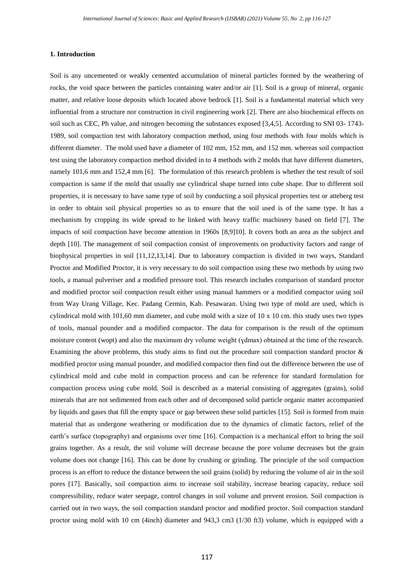#### **1. Introduction**

Soil is any uncemented or weakly cemented accumulation of mineral particles formed by the weathering of rocks, the void space between the particles containing water and/or air [1]. Soil is a group of mineral, organic matter, and relative loose deposits which located above bedrock [1]. Soil is a fundamental material which very influential from a structure nor construction in civil engineering work [2]. There are also biochemical effects on soil such as CEC, Ph value, and nitrogen becoming the substances exposed [3,4,5]. According to SNI 03- 1743- 1989, soil compaction test with laboratory compaction method, using four methods with four molds which is different diameter. The mold used have a diameter of 102 mm, 152 mm, and 152 mm. whereas soil compaction test using the laboratory compaction method divided in to 4 methods with 2 molds that have different diameters, namely 101,6 mm and 152,4 mm [6]. The formulation of this research problem is whether the test result of soil compaction is same if the mold that usually use cylindrical shape turned into cube shape. Due to different soil properties, it is necessary to have same type of soil by conducting a soil physical properties test or atteberg test in order to obtain soil physical properties so as to ensure that the soil used is of the same type. It has a mechanism by cropping its wide spread to be linked with heavy traffic machinery based on field [7]. The impacts of soil compaction have become attention in 1960s [8,9]10]. It covers both an area as the subject and depth [10]. The management of soil compaction consist of improvements on productivity factors and range of biophysical properties in soil [11,12,13,14]. Due to laboratory compaction is divided in two ways, Standard Proctor and Modified Proctor, it is very necessary to do soil compaction using these two methods by using two tools, a manual pulveriser and a modified pressure tool. This research includes comparison of standard proctor and modified proctor soil compaction result either using manual hammers or a modified compactor using soil from Way Urang Village, Kec. Padang Cermin, Kab. Pesawaran. Using two type of mold are used, which is cylindrical mold with 101,60 mm diameter, and cube mold with a size of 10 x 10 cm. this study uses two types of tools, manual pounder and a modified compactor. The data for comparison is the result of the optimum moisture content (wopt) and also the maximum dry volume weight ( $\gamma$ dmax) obtained at the time of the research. Examining the above problems, this study aims to find out the procedure soil compaction standard proctor & modified proctor using manual pounder, and modified compactor then find out the difference between the use of cylindrical mold and cube mold in compaction process and can be reference for standard formulation for compaction process using cube mold. Soil is described as a material consisting of aggregates (grains), solid minerals that are not sedimented from each other and of decomposed solid particle organic matter accompanied by liquids and gases that fill the empty space or gap between these solid particles [15]. Soil is formed from main material that as undergone weathering or modification due to the dynamics of climatic factors, relief of the earth's surface (topography) and organisms over time [16]. Compaction is a mechanical effort to bring the soil grains together. As a result, the soil volume will decrease because the pore volume decreases but the grain volume does not change [16]. This can be done by crushing or grinding. The principle of the soil compaction process is an effort to reduce the distance between the soil grains (solid) by reducing the volume of air in the soil pores [17]. Basically, soil compaction aims to increase soil stability, increase bearing capacity, reduce soil compressibility, reduce water seepage, control changes in soil volume and prevent erosion. Soil compaction is carried out in two ways, the soil compaction standard proctor and modified proctor. Soil compaction standard proctor using mold with 10 cm (4inch) diameter and 943,3 cm3 (1/30 ft3) volume, which is equipped with a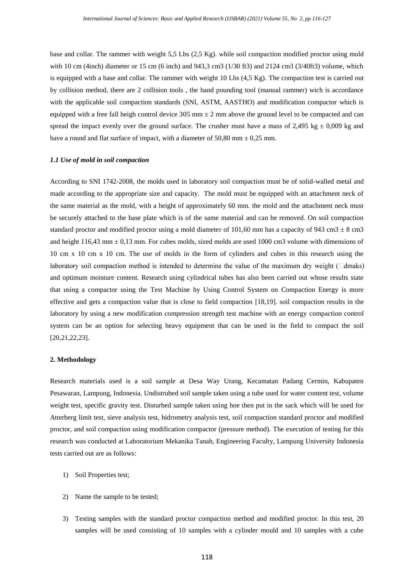base and collar. The rammer with weight 5,5 Lbs (2,5 Kg). while soil compaction modified proctor using mold with 10 cm (4inch) diameter or 15 cm (6 inch) and 943,3 cm3 (1/30 ft3) and 2124 cm3 (3/40ft3) volume, which is equipped with a base and collar. The rammer with weight 10 Lbs (4,5 Kg). The compaction test is carried out by collision method, there are 2 collision tools , the hand pounding tool (manual rammer) wich is accordance with the applicable soil compaction standards (SNI, ASTM, AASTHO) and modification compactor which is equipped with a free fall heigh control device  $305 \text{ mm} \pm 2 \text{ mm}$  above the ground level to be compacted and can spread the impact evenly over the ground surface. The crusher must have a mass of 2,495 kg  $\pm$  0,009 kg and have a round and flat surface of impact, with a diameter of 50,80 mm  $\pm$  0,25 mm.

## *1.1 Use of mold in soil compaction*

According to SNI 1742-2008, the molds used in laboratory soil compaction must be of solid-walled metal and made according to the appropriate size and capacity. The mold must be equipped with an attachment neck of the same material as the mold, with a height of approximately 60 mm. the mold and the attachment neck must be securely attached to the base plate which is of the same material and can be removed. On soil compaction standard proctor and modified proctor using a mold diameter of 101,60 mm has a capacity of 943 cm3  $\pm$  8 cm3 and height  $116,43$  mm  $\pm 0,13$  mm. For cubes molds, sized molds are used 1000 cm3 volume with dimensions of 10 cm x 10 cm x 10 cm. The use of molds in the form of cylinders and cubes in this research using the laboratory soil compaction method is intended to determine the value of the maximum dry weight  $(\Box$ dmaks) and optimum moisture content. Research using cylindrical tubes has also been carried out whose results state that using a compactor using the Test Machine by Using Control System on Compaction Energy is more effective and gets a compaction value that is close to field compaction [18,19]. soil compaction results in the laboratory by using a new modification compression strength test machine with an energy compaction control system can be an option for selecting heavy equipment that can be used in the field to compact the soil [20,21,22,23].

## **2. Methodology**

Research materials used is a soil sample at Desa Way Urang, Kecamatan Padang Cermin, Kabupaten Pesawaran, Lampung, Indonesia. Undistrubed soil sample taken using a tube used for water content test, volume weight test, specific gravity test. Disturbed sample taken using hoe then put in the sack which will be used for Atterberg limit test, sieve analysis test, hidrometry analysis test, soil compaction standard proctor and modified proctor, and soil compaction using modification compactor (pressure method). The execution of testing for this research was conducted at Laboratorium Mekanika Tanah, Engineering Faculty, Lampung University Indonesia tests carried out are as follows:

- 1) Soil Properties test;
- 2) Name the sample to be tested;
- 3) Testing samples with the standard proctor compaction method and modified proctor. In this test, 20 samples will be used consisting of 10 samples with a cylinder mould and 10 samples with a cube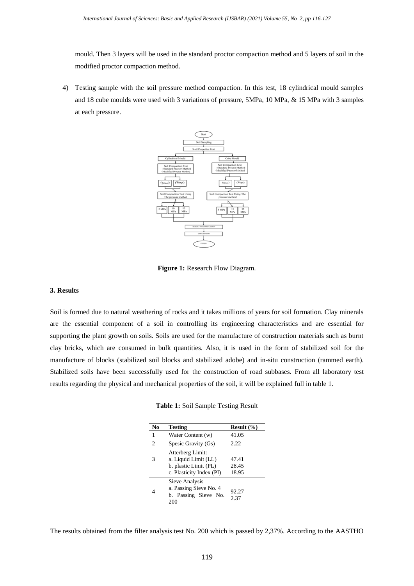mould. Then 3 layers will be used in the standard proctor compaction method and 5 layers of soil in the modified proctor compaction method.

4) Testing sample with the soil pressure method compaction. In this test, 18 cylindrical mould samples and 18 cube moulds were used with 3 variations of pressure, 5MPa, 10 MPa, & 15 MPa with 3 samples at each pressure.



**Figure 1:** Research Flow Diagram.

#### **3. Results**

Soil is formed due to natural weathering of rocks and it takes millions of years for soil formation. Clay minerals are the essential component of a soil in controlling its engineering characteristics and are essential for supporting the plant growth on soils. Soils are used for the manufacture of construction materials such as burnt clay bricks, which are consumed in bulk quantities. Also, it is used in the form of stabilized soil for the manufacture of blocks (stabilized soil blocks and stabilized adobe) and in-situ construction (rammed earth). Stabilized soils have been successfully used for the construction of road subbases. From all laboratory test results regarding the physical and mechanical properties of the soil, it will be explained full in table 1.

**Table 1:** Soil Sample Testing Result

| No             | <b>Testing</b>                                                                                | Result $(\% )$          |
|----------------|-----------------------------------------------------------------------------------------------|-------------------------|
| 1              | Water Content (w)                                                                             | 41.05                   |
| $\overline{c}$ | Spesic Gravity (Gs)                                                                           | 2.22                    |
| 3              | Atterberg Limit:<br>a. Liquid Limit (LL)<br>b. plastic Limit (PL)<br>c. Plasticity Index (PI) | 47.41<br>28.45<br>18.95 |
| 4              | Sieve Analysis<br>a. Passing Sieve No. 4<br>b. Passing Sieve No.<br>200                       | 92.27<br>2.37           |

The results obtained from the filter analysis test No. 200 which is passed by 2,37%. According to the AASTHO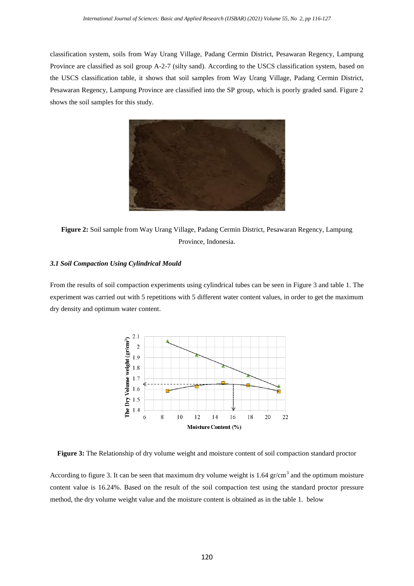classification system, soils from Way Urang Village, Padang Cermin District, Pesawaran Regency, Lampung Province are classified as soil group A-2-7 (silty sand). According to the USCS classification system, based on the USCS classification table, it shows that soil samples from Way Urang Village, Padang Cermin District, Pesawaran Regency, Lampung Province are classified into the SP group, which is poorly graded sand. Figure 2 shows the soil samples for this study.



**Figure 2:** Soil sample from Way Urang Village, Padang Cermin District, Pesawaran Regency, Lampung Province, Indonesia.

## *3.1 Soil Compaction Using Cylindrical Mould*

From the results of soil compaction experiments using cylindrical tubes can be seen in Figure 3 and table 1. The experiment was carried out with 5 repetitions with 5 different water content values, in order to get the maximum dry density and optimum water content.



**Figure 3:** The Relationship of dry volume weight and moisture content of soil compaction standard proctor

According to figure 3. It can be seen that maximum dry volume weight is  $1.64$  gr/cm<sup>3</sup> and the optimum moisture content value is 16.24%. Based on the result of the soil compaction test using the standard proctor pressure method, the dry volume weight value and the moisture content is obtained as in the table 1. below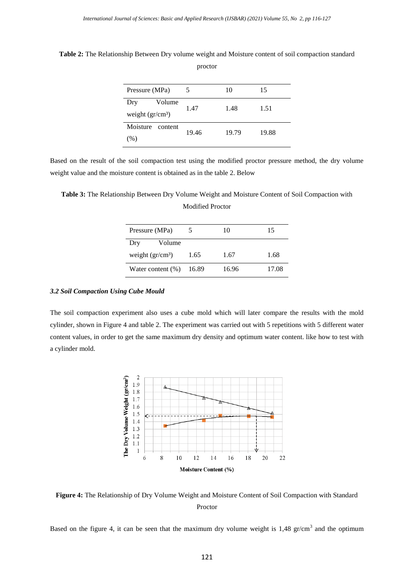Pressure (MPa)  $5 \t 10 \t 15$ Dry Volume weight  $(gr/cm<sup>3</sup>)$ 1.47 1.48 1.51 Moisture content (%) 19.46 19.79 19.88

**Table 2:** The Relationship Between Dry volume weight and Moisture content of soil compaction standard proctor

Based on the result of the soil compaction test using the modified proctor pressure method, the dry volume weight value and the moisture content is obtained as in the table 2. Below

**Table 3:** The Relationship Between Dry Volume Weight and Moisture Content of Soil Compaction with Modified Proctor

| Pressure (MPa)         |       | 10    | 15    |
|------------------------|-------|-------|-------|
| Volume<br>Dry          |       |       |       |
| weight $\rm (gr/cm^3)$ | 1.65  | 1.67  | 1.68  |
| Water content $(\%)$   | 16.89 | 16.96 | 17.08 |

## *3.2 Soil Compaction Using Cube Mould*

The soil compaction experiment also uses a cube mold which will later compare the results with the mold cylinder, shown in Figure 4 and table 2. The experiment was carried out with 5 repetitions with 5 different water content values, in order to get the same maximum dry density and optimum water content. like how to test with a cylinder mold.



**Figure 4:** The Relationship of Dry Volume Weight and Moisture Content of Soil Compaction with Standard Proctor

Based on the figure 4, it can be seen that the maximum dry volume weight is  $1,48$  gr/cm<sup>3</sup> and the optimum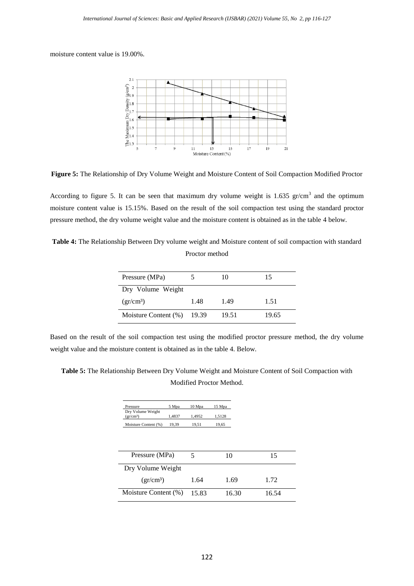moisture content value is 19.00%.



**Figure 5:** The Relationship of Dry Volume Weight and Moisture Content of Soil Compaction Modified Proctor

According to figure 5. It can be seen that maximum dry volume weight is 1.635  $gr/cm<sup>3</sup>$  and the optimum moisture content value is 15.15%. Based on the result of the soil compaction test using the standard proctor pressure method, the dry volume weight value and the moisture content is obtained as in the table 4 below.

**Table 4:** The Relationship Between Dry volume weight and Moisture content of soil compaction with standard Proctor method

| Pressure (MPa)                 |      | 10    | 15    |
|--------------------------------|------|-------|-------|
| Dry Volume Weight              |      |       |       |
| $gr/cm^3$                      | 1.48 | 1.49  | 1.51  |
| Moisture Content $(\% )$ 19.39 |      | 19.51 | 19.65 |

Based on the result of the soil compaction test using the modified proctor pressure method, the dry volume weight value and the moisture content is obtained as in the table 4. Below.

**Table 5:** The Relationship Between Dry Volume Weight and Moisture Content of Soil Compaction with Modified Proctor Method.

| Pressure                       | 5 Mpa  | 10 Mpa | 15 Mpa |
|--------------------------------|--------|--------|--------|
| Dry Volume Weight<br>$gr/cm^3$ | 1.4837 | 1.4952 | 1.5128 |
| Moisture Content (%)           | 19.39  | 19.51  | 19,65  |

| Pressure (MPa)       |       | 10    | 15    |
|----------------------|-------|-------|-------|
| Dry Volume Weight    |       |       |       |
| $gr/cm^3$            | 1.64  | 1.69  | 1.72  |
| Moisture Content (%) | 15.83 | 16.30 | 16.54 |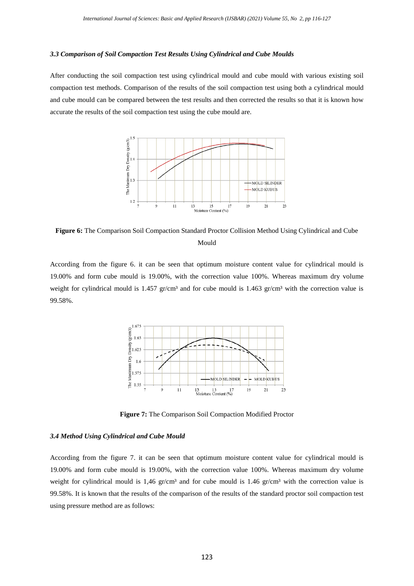#### *3.3 Comparison of Soil Compaction Test Results Using Cylindrical and Cube Moulds*

After conducting the soil compaction test using cylindrical mould and cube mould with various existing soil compaction test methods. Comparison of the results of the soil compaction test using both a cylindrical mould and cube mould can be compared between the test results and then corrected the results so that it is known how accurate the results of the soil compaction test using the cube mould are.



**Figure 6:** The Comparison Soil Compaction Standard Proctor Collision Method Using Cylindrical and Cube Mould

According from the figure 6. it can be seen that optimum moisture content value for cylindrical mould is 19.00% and form cube mould is 19.00%, with the correction value 100%. Whereas maximum dry volume weight for cylindrical mould is 1.457 gr/cm<sup>3</sup> and for cube mould is 1.463 gr/cm<sup>3</sup> with the correction value is 99.58%.



**Figure 7:** The Comparison Soil Compaction Modified Proctor

## *3.4 Method Using Cylindrical and Cube Mould*

According from the figure 7. it can be seen that optimum moisture content value for cylindrical mould is 19.00% and form cube mould is 19.00%, with the correction value 100%. Whereas maximum dry volume weight for cylindrical mould is 1,46 gr/cm<sup>3</sup> and for cube mould is 1.46 gr/cm<sup>3</sup> with the correction value is 99.58%. It is known that the results of the comparison of the results of the standard proctor soil compaction test using pressure method are as follows: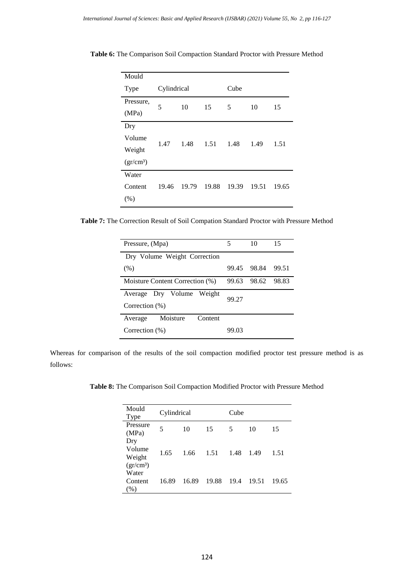| Mould              |             |       |       |       |       |       |
|--------------------|-------------|-------|-------|-------|-------|-------|
| Type               | Cylindrical |       |       | Cube  |       |       |
| Pressure,<br>(MPa) | 5           | 10    | 15    | 5     | 10    | 15    |
| Dry<br>Volume      |             |       |       |       |       |       |
| Weight             | 1.47        | 1.48  | 1.51  | 1.48  | 1.49  | 1.51  |
| $(gr/cm^3)$        |             |       |       |       |       |       |
| Water              |             |       |       |       |       |       |
| Content            | 19.46       | 19.79 | 19.88 | 19.39 | 19.51 | 19.65 |
| (% )               |             |       |       |       |       |       |

**Table 6:** The Comparison Soil Compaction Standard Proctor with Pressure Method

**Table 7:** The Correction Result of Soil Compation Standard Proctor with Pressure Method

| Pressure, (Mpa)                                   | 5     | 10          | 15     |
|---------------------------------------------------|-------|-------------|--------|
| Dry Volume Weight Correction                      |       |             |        |
| (% )                                              |       | 99.45 98.84 | 99.51  |
| Moisture Content Correction (%)                   | 99.63 | 98.62       | -98.83 |
| Dry Volume Weight<br>Average<br>Correction $(\%)$ | 99.27 |             |        |
| Moisture<br>Content<br>Average                    |       |             |        |
| Correction $(\%)$                                 | 99.03 |             |        |

Whereas for comparison of the results of the soil compaction modified proctor test pressure method is as follows:

**Table 8:** The Comparison Soil Compaction Modified Proctor with Pressure Method

| Mould<br>Type                          | Cylindrical |       |       | Cube |       |       |
|----------------------------------------|-------------|-------|-------|------|-------|-------|
| Pressure<br>(MPa)                      | 5           | 10    | 15    | 5    | 10    | 15    |
| Dry<br>Volume<br>Weight<br>$(gr/cm^3)$ | 1.65        | 1.66  | 1.51  | 1.48 | 1.49  | 1.51  |
| Water<br>Content<br>$\%$ )             | 16.89       | 16.89 | 19.88 | 19.4 | 19.51 | 19.65 |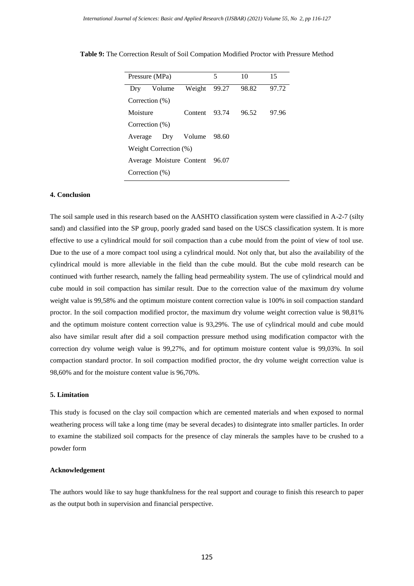|                          | Pressure (MPa)                 |                  | 5     | 10    | 15    |  |  |
|--------------------------|--------------------------------|------------------|-------|-------|-------|--|--|
| Drv                      | Volume                         | Weight           | 99.27 | 98.82 | 97.72 |  |  |
| Correction $(\%)$        |                                |                  |       |       |       |  |  |
| Moisture                 |                                | Content 93.74    |       | 96.52 | 97.96 |  |  |
| Correction $(\%)$        |                                |                  |       |       |       |  |  |
| Average                  |                                | Dry Volume 98.60 |       |       |       |  |  |
| Weight Correction $(\%)$ |                                |                  |       |       |       |  |  |
|                          | Average Moisture Content 96.07 |                  |       |       |       |  |  |
| Correction $(\%)$        |                                |                  |       |       |       |  |  |

**Table 9:** The Correction Result of Soil Compation Modified Proctor with Pressure Method

## **4. Conclusion**

The soil sample used in this research based on the AASHTO classification system were classified in A-2-7 (silty sand) and classified into the SP group, poorly graded sand based on the USCS classification system. It is more effective to use a cylindrical mould for soil compaction than a cube mould from the point of view of tool use. Due to the use of a more compact tool using a cylindrical mould. Not only that, but also the availability of the cylindrical mould is more alleviable in the field than the cube mould. But the cube mold research can be continued with further research, namely the falling head permeability system. The use of cylindrical mould and cube mould in soil compaction has similar result. Due to the correction value of the maximum dry volume weight value is 99,58% and the optimum moisture content correction value is 100% in soil compaction standard proctor. In the soil compaction modified proctor, the maximum dry volume weight correction value is 98,81% and the optimum moisture content correction value is 93,29%. The use of cylindrical mould and cube mould also have similar result after did a soil compaction pressure method using modification compactor with the correction dry volume weigh value is 99,27%, and for optimum moisture content value is 99,03%. In soil compaction standard proctor. In soil compaction modified proctor, the dry volume weight correction value is 98,60% and for the moisture content value is 96,70%.

## **5. Limitation**

This study is focused on the clay soil compaction which are cemented materials and when exposed to normal weathering process will take a long time (may be several decades) to disintegrate into smaller particles. In order to examine the stabilized soil compacts for the presence of clay minerals the samples have to be crushed to a powder form

#### **Acknowledgement**

The authors would like to say huge thankfulness for the real support and courage to finish this research to paper as the output both in supervision and financial perspective.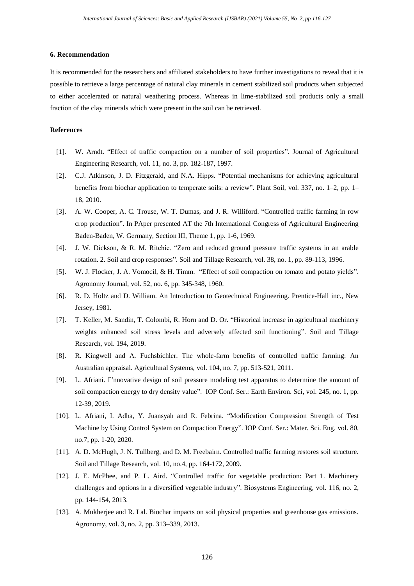## **6. Recommendation**

It is recommended for the researchers and affiliated stakeholders to have further investigations to reveal that it is possible to retrieve a large percentage of natural clay minerals in cement stabilized soil products when subjected to either accelerated or natural weathering process. Whereas in lime-stabilized soil products only a small fraction of the clay minerals which were present in the soil can be retrieved.

## **References**

- [1]. W. Arndt. "Effect of traffic compaction on a number of soil properties". Journal of Agricultural Engineering Research, vol. 11, no. 3, pp. 182-187, 1997.
- [2]. C.J. Atkinson, J. D. Fitzgerald, and N.A. Hipps. "Potential mechanisms for achieving agricultural benefits from biochar application to temperate soils: a review". Plant Soil, vol. 337, no. 1–2, pp. 1– 18, 2010.
- [3]. A. W. Cooper, A. C. Trouse, W. T. Dumas, and J. R. Williford. "Controlled traffic farming in row crop production". In PAper presented AT the 7th International Congress of Agricultural Engineering Baden-Baden, W. Germany, Section III, Theme 1, pp. 1-6, 1969.
- [4]. J. W. Dickson, & R. M. Ritchie. "Zero and reduced ground pressure traffic systems in an arable rotation. 2. Soil and crop responses". Soil and Tillage Research, vol. 38, no. 1, pp. 89-113, 1996.
- [5]. W. J. Flocker, J. A. Vomocil, & H. Timm. "Effect of soil compaction on tomato and potato yields". Agronomy Journal, vol. 52, no. 6, pp. 345-348, 1960.
- [6]. R. D. Holtz and D. William. An Introduction to Geotechnical Engineering. Prentice-Hall inc., New Jersey, 1981.
- [7]. T. Keller, M. Sandin, T. Colombi, R. Horn and D. Or. "Historical increase in agricultural machinery weights enhanced soil stress levels and adversely affected soil functioning". Soil and Tillage Research, vol. 194, 2019.
- [8]. R. Kingwell and A. Fuchsbichler. The whole-farm benefits of controlled traffic farming: An Australian appraisal. Agricultural Systems, vol. 104, no. 7, pp. 513-521, 2011.
- [9]. L. Afriani. I"nnovative design of soil pressure modeling test apparatus to determine the amount of soil compaction energy to dry density value". IOP Conf. Ser.: Earth Environ. Sci, vol. 245, no. 1, pp. 12-39, 2019.
- [10]. L. Afriani, I. Adha, Y. Juansyah and R. Febrina. "Modification Compression Strength of Test Machine by Using Control System on Compaction Energy". IOP Conf. Ser.: Mater. Sci. Eng, vol. 80, no.7, pp. 1-20, 2020.
- [11]. A. D. McHugh, J. N. Tullberg, and D. M. Freebairn. Controlled traffic farming restores soil structure. Soil and Tillage Research, vol. 10, no.4, pp. 164-172, [2009.](https://doi.org/10.1016/j.still.2008.10.010)
- [12]. J. E. McPhee, and P. L. Aird. "Controlled traffic for vegetable production: Part 1. Machinery challenges and options in a diversified vegetable industry". Biosystems Engineering, vol. 116, no. 2, pp. 144-154, 2013.
- [13]. A. Mukherjee and R. Lal. Biochar impacts on soil physical properties and greenhouse gas emissions. Agronomy, vol. 3, no. 2, pp. 313–339, 2013.